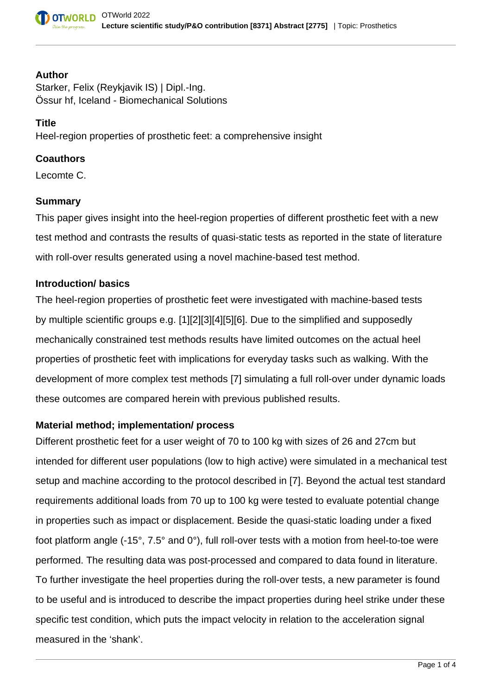

#### **Author**

Starker, Felix (Reykjavik IS) | Dipl.-Ing. Össur hf, Iceland - Biomechanical Solutions

#### **Title**

Heel-region properties of prosthetic feet: a comprehensive insight

### **Coauthors**

Lecomte C.

### **Summary**

This paper gives insight into the heel-region properties of different prosthetic feet with a new test method and contrasts the results of quasi-static tests as reported in the state of literature with roll-over results generated using a novel machine-based test method.

### **Introduction/ basics**

The heel-region properties of prosthetic feet were investigated with machine-based tests by multiple scientific groups e.g. [1][2][3][4][5][6]. Due to the simplified and supposedly mechanically constrained test methods results have limited outcomes on the actual heel properties of prosthetic feet with implications for everyday tasks such as walking. With the development of more complex test methods [7] simulating a full roll-over under dynamic loads these outcomes are compared herein with previous published results.

### **Material method; implementation/ process**

Different prosthetic feet for a user weight of 70 to 100 kg with sizes of 26 and 27cm but intended for different user populations (low to high active) were simulated in a mechanical test setup and machine according to the protocol described in [7]. Beyond the actual test standard requirements additional loads from 70 up to 100 kg were tested to evaluate potential change in properties such as impact or displacement. Beside the quasi-static loading under a fixed foot platform angle (-15°, 7.5° and 0°), full roll-over tests with a motion from heel-to-toe were performed. The resulting data was post-processed and compared to data found in literature. To further investigate the heel properties during the roll-over tests, a new parameter is found to be useful and is introduced to describe the impact properties during heel strike under these specific test condition, which puts the impact velocity in relation to the acceleration signal measured in the 'shank'.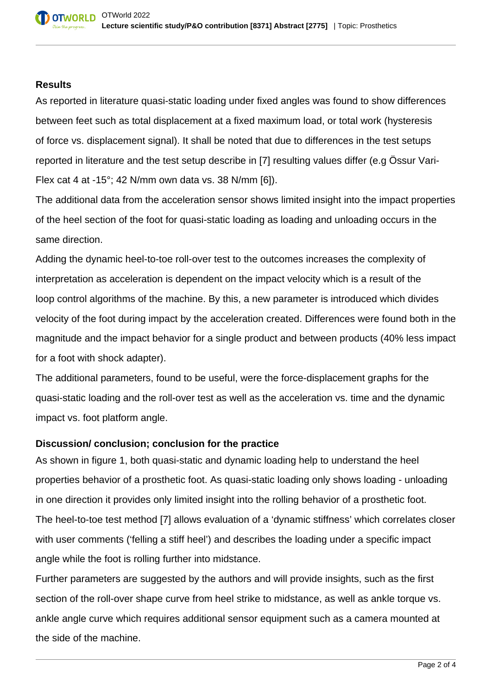### **Results**

As reported in literature quasi-static loading under fixed angles was found to show differences between feet such as total displacement at a fixed maximum load, or total work (hysteresis of force vs. displacement signal). It shall be noted that due to differences in the test setups reported in literature and the test setup describe in [7] resulting values differ (e.g Össur Vari-Flex cat 4 at -15°; 42 N/mm own data vs. 38 N/mm [6]).

The additional data from the acceleration sensor shows limited insight into the impact properties of the heel section of the foot for quasi-static loading as loading and unloading occurs in the same direction.

Adding the dynamic heel-to-toe roll-over test to the outcomes increases the complexity of interpretation as acceleration is dependent on the impact velocity which is a result of the loop control algorithms of the machine. By this, a new parameter is introduced which divides velocity of the foot during impact by the acceleration created. Differences were found both in the magnitude and the impact behavior for a single product and between products (40% less impact for a foot with shock adapter).

The additional parameters, found to be useful, were the force-displacement graphs for the quasi-static loading and the roll-over test as well as the acceleration vs. time and the dynamic impact vs. foot platform angle.

# **Discussion/ conclusion; conclusion for the practice**

As shown in figure 1, both quasi-static and dynamic loading help to understand the heel properties behavior of a prosthetic foot. As quasi-static loading only shows loading - unloading in one direction it provides only limited insight into the rolling behavior of a prosthetic foot. The heel-to-toe test method [7] allows evaluation of a 'dynamic stiffness' which correlates closer with user comments ('felling a stiff heel') and describes the loading under a specific impact angle while the foot is rolling further into midstance.

Further parameters are suggested by the authors and will provide insights, such as the first section of the roll-over shape curve from heel strike to midstance, as well as ankle torque vs. ankle angle curve which requires additional sensor equipment such as a camera mounted at the side of the machine.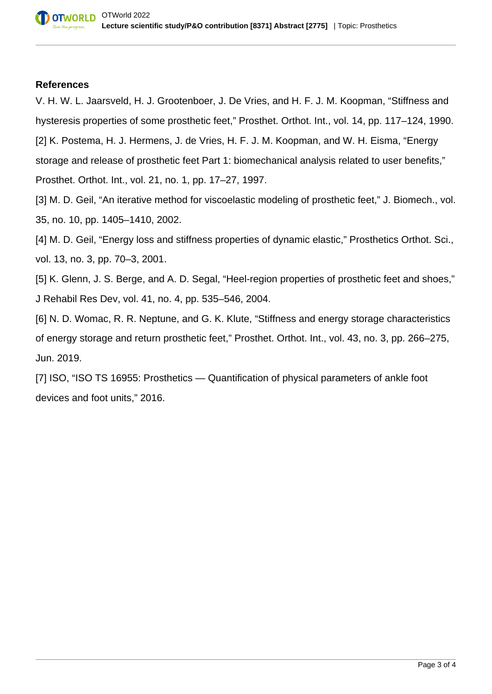#### **References**

V. H. W. L. Jaarsveld, H. J. Grootenboer, J. De Vries, and H. F. J. M. Koopman, "Stiffness and hysteresis properties of some prosthetic feet," Prosthet. Orthot. Int., vol. 14, pp. 117–124, 1990. [2] K. Postema, H. J. Hermens, J. de Vries, H. F. J. M. Koopman, and W. H. Eisma, "Energy storage and release of prosthetic feet Part 1: biomechanical analysis related to user benefits," Prosthet. Orthot. Int., vol. 21, no. 1, pp. 17–27, 1997.

[3] M. D. Geil, "An iterative method for viscoelastic modeling of prosthetic feet," J. Biomech., vol. 35, no. 10, pp. 1405–1410, 2002.

[4] M. D. Geil, "Energy loss and stiffness properties of dynamic elastic," Prosthetics Orthot. Sci., vol. 13, no. 3, pp. 70–3, 2001.

[5] K. Glenn, J. S. Berge, and A. D. Segal, "Heel-region properties of prosthetic feet and shoes," J Rehabil Res Dev, vol. 41, no. 4, pp. 535–546, 2004.

[6] N. D. Womac, R. R. Neptune, and G. K. Klute, "Stiffness and energy storage characteristics of energy storage and return prosthetic feet," Prosthet. Orthot. Int., vol. 43, no. 3, pp. 266–275, Jun. 2019.

[7] ISO, "ISO TS 16955: Prosthetics — Quantification of physical parameters of ankle foot devices and foot units," 2016.